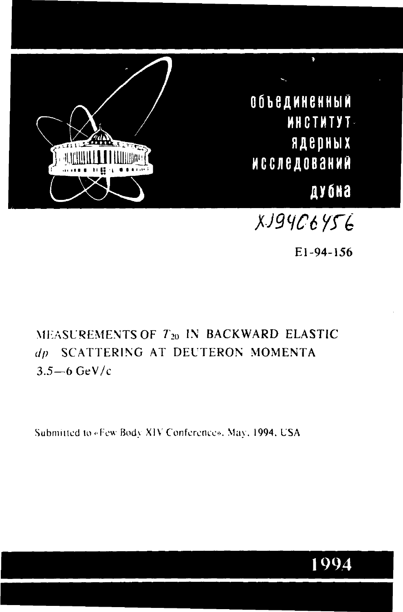

Объединенный **MHCTMTYT**ядерных **ИССЛЕДОВАНИЙ** дубна

XJ94C6456

 $E1 - 94 - 1.56$ 

# MEASUREMENTS OF T20 IN BACKWARD ELASTIC dp SCATTERING AT DEUTERON MOMENTA  $3.5 - 6$  GeV/c

Submitted to «Few Body XIV Conference». May, 1994, USA

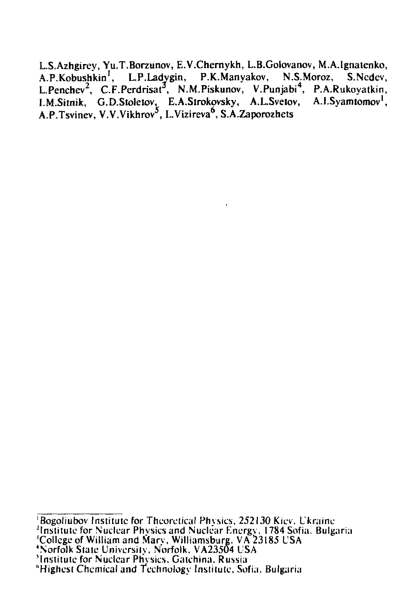L.S.Azhgirey, Yu.T.Borzunov, E.V.Chernykh, L.B.Golovanov, M.A.Ignatenko, A.P.Kobushkin<sup>1</sup>, L.P.Ladygin, P.K.Manyakov, N.S.Moroz, S.Ncdev, L.Penchev<sup>2</sup>, C.F.Perdrisat<sup>3</sup>, N.M.Piskunov, V.Punjabi<sup>4</sup>, P.A.Rukoyatkin, I.M.Sitnik, G.D.Stoletov, E.A.Strokovsky, A.L.Svetov, A.I.Syamtomov<sup>1</sup>, A.P.Tsvinev, V.V.Vikhrov<sup>5</sup>, L.Vizireva<sup>6</sup>, S.A.Zaporozhets

<sup>&#</sup>x27;Bogoliubov Institute for Theoretical Physics, 252130 Kiev. Ukraine

<sup>&</sup>quot;Institute for Nuclear Phvsicsand Nuclear Energy. 1784 Sofia. Bulgaria 'College of William and Marv, Williamsburg, VA 23185 USA

<sup>&#</sup>x27;Norfolk Stale University, Norfolk. VA23504 USA

<sup>^</sup>Institute for Nuclear Phvsics, Gatchina. Russia

<sup>&</sup>quot;Highest Chemical and Technology Institute, Sofia, Bulgaria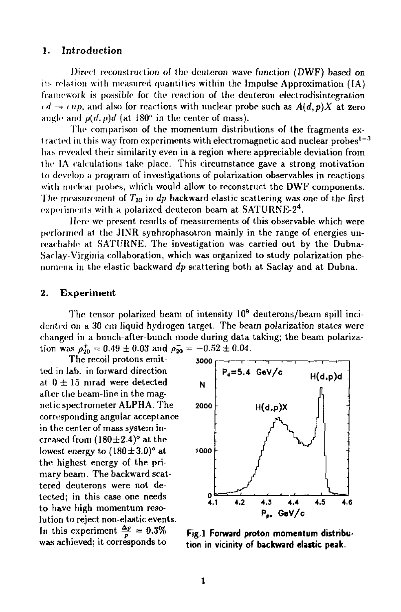### 1. **Introduction**

Direct reconstruction of the deuteron wave function (DWF) based on its relation with measured quantities within the Impulse Approximation (IA) framework is possible for the reaction of the deuteron electrodisintegration  $\epsilon d \rightarrow \epsilon np$ , and also for reactions with nuclear probe such as  $A(d, p)X$  at zero angle and  $p(d, p)d$  (at  $180^\circ$  in the center of mass).

The comparison of the momentum distributions of the fragments extracted in this way from experiments with electromagnetic and nuclear probes<sup>1–3</sup> has revealed their similarity even in a region where appreciable deviation from the IA calculations take place. This circumstance gave a strong motivation to develop a program of investigations of polarization observables in reactions with nuclear probes, which would allow to reconstruct the DWF components. The measurement of *T20* in *dp* backward elastic scattering was one of the first, experiments with a polarized deuteron beam at  $SATURNE-2<sup>4</sup>$ .

Here we present results of measurements of this observable which were performed al the JINR synhrophasotron mainly in the range of energies unreachable at. SATURNE. The investigation was carried out by the Dubna-Saclay-Virginia collaboration, which was organized to study polarization phenomena in the elastic backward *dp* scattering both at Saclay and at Dubna.

#### 2. Experiment

The tensor polarized beam of intensity  $10^9$  deuterons/beam spill incidented on a 30 cm liquid hydrogen target. The beam polarization states were changed in a bunch-after-bunch mode during data taking; the beam polarization was  $\rho_{20}^+ = 0.49 \pm 0.03$  and  $\rho_{20}^- = -0.52 \pm 0.04$ .

The recoil protons emitted in lab. in forward direction at  $0 \pm 15$  mrad were detected after the beam-line in the magnetic spectrometer ALPHA. The corresponding angular acceptance in the center of mass system increased from  $(180\pm2.4)$ <sup>o</sup> at the lowest energy to  $(180 \pm 3.0)$ <sup>o</sup> at the highest energy of the primary beam. The backward scattered deuterons were not detected; in this case one needs to have high momentum resolution to reject non-elastic events. In this experiment  $\frac{\Delta p}{p} = 0.3\%$  Fig.1 Forward proton momentum distribu-<br>was achieved; it corresponds to **the induction in vicinity of hackward elastic neak** 



tion in vicinity of backward elastic peak.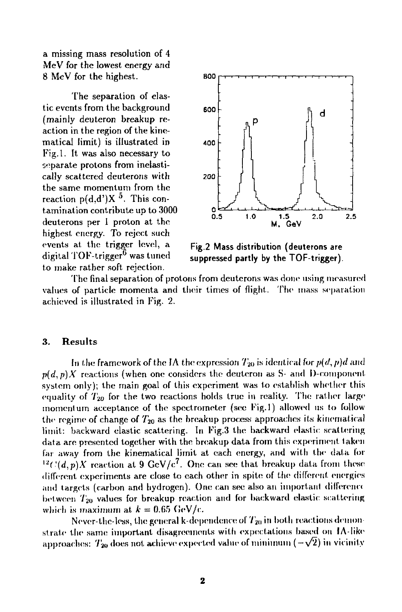a missing mass resolution of 4 MeV for the lowest energy and 8 MeV for the highest.

The separation of elastic events from the background (mainly deuteron breakup reaction in the region of the kinematical limit) is illustrated in Fig.l. It was also necessary to separate protons from inelastically scattered deuterons with the same momentum from the reaction  $p(d,d')X$ <sup>5</sup>. This contamination contribute up to 3000 deuterons per 1 proton at the highest energy. To reject such events at the trigger level, a digital TOF-trigger $^6$  was tuned to make rather soft rejection.



**Fig.2 Mass distribution (deuterons are suppressed partly by the TOF-trigger).** 

The final separation of protons from deuterons was done using measured values of particle momenta and their times of flight. The mass separation achieved is illustrated in Fig. 2.

#### **3. Results**

In the framework of the IA the expression  $T_{20}$  is identical for  $p(d, p)d$  and  $p(d, p)X$  reactions (when one considers the deuteron as S- and I)-component system only); the main goal of this experiment was to establish whether this equality of  $T_{20}$  for the two reactions holds true in reality. The rather large momentum acceptance of the spectrometer (see Fig.l) allowed us to follow the regime of change of  $T_{20}$  as the breakup process approaches its kinematical limit: backward elastic scattering. In Fig.3 the backward elastic scattering data are presented together with the breakup data from this experiment taken far away from the kinematical limit at each energy, and with the data for <sup>12</sup> $C(d, p)X$  reaction at 9 GeV/c<sup>7</sup>. One can see that breakup data from these different experiments are close to each other in spite of the different energies and targets (carbon and hydrogen). One can see also an important dilferenct between  $T_{20}$  values for breakup reaction and for backward elastic scattering which is maximum at  $k = 0.65$  GeV/c.

Never-the-less, the general k-dependence of  $T_{20}$  in both reactions demonstrate the same important disagreements with expectations based on 1A-like approaches:  $T_{20}$  does not achieve expected value of minimum ( $-\sqrt{2}$ ) in vicinity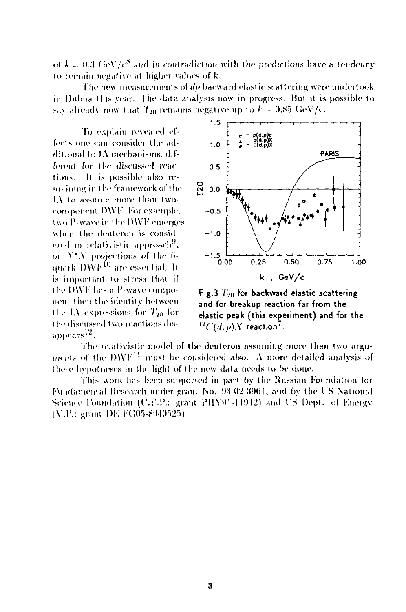of  $k = 0.3$  GeV/c<sup>8</sup> and in contradiction with the predictions have a tendency to remain negative at higher values of k.

The new measurements of  $dp$  bacward elastic scattering were undertook in Dubna this year. The data analysis now in progress. But it is possible to say already now that  $T_{20}$  remains negative up to  $k = 0.85$  GeV/c.

To explain revealed effects one can consider the additional to IA mechanisms, different for the discussed reactions. It is possible also remaining in the framework of the IA to assume more than twocomponent DWF. For example, two P-waye in the DWF emerges when the deuteron is considered in relativistic approach<sup>9</sup>. or  $N$   $N$  projections of the 6quark DWF<sup>10</sup> are essential. It is important to stress that if the DWF has a P-wave component then the identity between the 1A expressions for  $T_{20}$  for the discussed two reactions disappears<sup>12</sup>.



Fig.3  $T_{20}$  for backward elastic scattering and for breakup reaction far from the elastic peak (this experiment) and for the  $^{12}C(d, p)X$  reaction<sup>7</sup>.

The relativistic model of the deuteron assuming more than two arguments of the DWF<sup>11</sup> must be considered also. A more detailed analysis of these hypotheses in the light of the new data needs to be done.

This work has been supported in part by the Russian Foundation for Fundamental Research under grant No. 93-02-3961, and by the US National Science Foundation (C.F.P.: grant PHY91-11942) and US Dept. of Energy (V.P.: grant DE-FG05-8940525).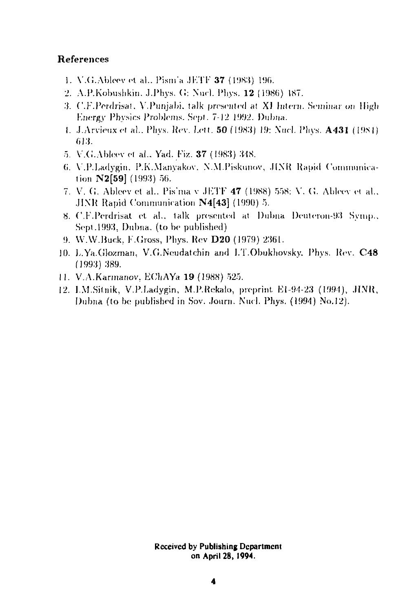## **References**

- 1. V.G.Ableev et al., Pism'a JETF  $37$  (1983) 196.
- 2. A.P.Kobushkin. J.Phys. G: Nucl. Phys. 12 (1986) 187.
- 3. C.F.Perdrisat, V.Punjabi, talk presented at XI Intern. Seminar on High Knergy Physics Problems. Sept. 7-12 1992. Dubna.
- 1. J.Arvieux et al., Phys. Rev. Lett. **50** (1983) 19: Nucl. Phys. **A431** (1984) G13.
- 5. V.G.Ableev et al., Yad. Fiz. 37 (1983) 348.
- (i. Y.P.Ladygin. P.K.Manyakov. N.M.Piskunov, .IINR Rapid Communication N2[59] (1993) 50.
- 7. V. G. Ableev et al.. Pis'ma v JETF 47 (1988) 558: V. G. Ableev et al., .JINK Rapid Communication N4[43] (1990) 5.
- 8. C.F.Perdrisat et. al.. talk presented at Dubna Deuterou-93 Symp.. Sept.1993, Dubna. (to be published)
- 9. W.W.Buck, F.Cross, Pliys. Rev **D20** (1979) 2361.
- 10. L.Ya.Glozrnan, V.G.Neudatchin and I.T.Obuktiovsky. Phys. Rev. **C48**  (1993) 389.
- 11. V.A.Karmanov. EChAYa 19 (1988) 525.
- 12. I.M.Sitnik, V.P.Ladygin, M.P.Rekalo, preprint. E1-94-23 (1994), JINR, Dubna (to be published in Sov. Journ. Nucl. Phys. (1994) No.12).

**Received by Publishing Department on April 28, 1994.**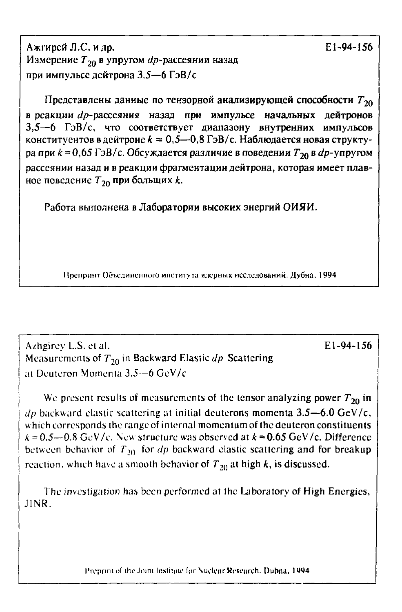Ажгирей Л.С. и др. Измерение  $T_{20}$  в упругом  $dp$ -рассеянии назад при импульсе дейтрона 3.5-6 ГэВ/с

Представлены данные по тензорной анализирующей способности  $T_{20}$ в реакции dp-рассеяния назад при импульсе начальных дейтронов 3,5-6 ГэВ/с, что соответствует диапазону внутренних импульсов конституентов в дейтроне  $k = 0.5 - 0.8$  ГэВ/с. Наблюдается новая структура при  $k = 0.65$  ГэВ/с. Обсуждается различие в поведении  $T_{20}$  в  $dp$ -упругом рассеянии назад и в реакции фрагментации дейтрона, которая имеет плавное поведение  $T_{20}$  при больших k.

Работа выполнена в Лаборатории высоких энергий ОИЯИ.

Препринт Объединенного института ядерных исследований. Дубна, 1994

Azhgirev L.S. et al. Measurements of  $T_{20}$  in Backward Elastic  $dp$  Scattering at Deuteron Momenta 3.5-6 GeV/c

We present results of measurements of the tensor analyzing power  $T_{20}$  in dp backward elastic scattering at initial deuterons momenta  $3.5-6.0 \text{ GeV/c}$ , which corresponds the range of internal momentum of the deuteron constituents  $k = 0.5 - 0.8$  GeV/c. New structure was observed at  $k = 0.65$  GeV/c. Difference between behavior of  $T_{20}$  for *dp* backward elastic scattering and for breakup reaction, which have a smooth behavior of  $T_{20}$  at high k, is discussed.

The investigation has been performed at the Laboratory of High Energies, JINR.

Preprint of the Joint Institute for Nuclear Research. Dubna, 1994

E1-94-156

E1-94-156